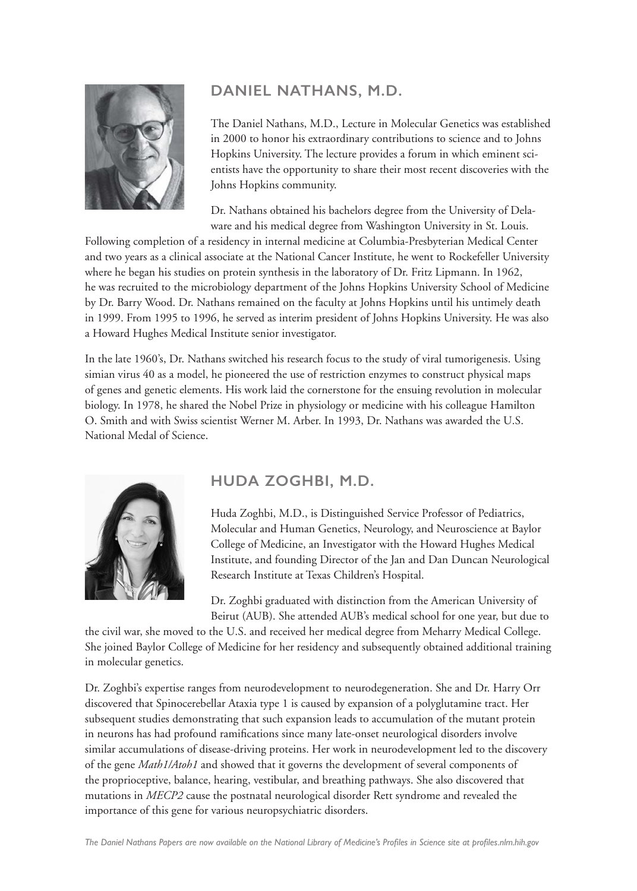

## **DANIEL NATHANS, M.D.**

The Daniel Nathans, M.D., Lecture in Molecular Genetics was established in 2000 to honor his extraordinary contributions to science and to Johns Hopkins University. The lecture provides a forum in which eminent scientists have the opportunity to share their most recent discoveries with the Johns Hopkins community.

Dr. Nathans obtained his bachelors degree from the University of Delaware and his medical degree from Washington University in St. Louis.

Following completion of a residency in internal medicine at Columbia-Presbyterian Medical Center and two years as a clinical associate at the National Cancer Institute, he went to Rockefeller University where he began his studies on protein synthesis in the laboratory of Dr. Fritz Lipmann. In 1962, he was recruited to the microbiology department of the Johns Hopkins University School of Medicine by Dr. Barry Wood. Dr. Nathans remained on the faculty at Johns Hopkins until his untimely death in 1999. From 1995 to 1996, he served as interim president of Johns Hopkins University. He was also a Howard Hughes Medical Institute senior investigator.

In the late 1960's, Dr. Nathans switched his research focus to the study of viral tumorigenesis. Using simian virus 40 as a model, he pioneered the use of restriction enzymes to construct physical maps of genes and genetic elements. His work laid the cornerstone for the ensuing revolution in molecular biology. In 1978, he shared the Nobel Prize in physiology or medicine with his colleague Hamilton O. Smith and with Swiss scientist Werner M. Arber. In 1993, Dr. Nathans was awarded the U.S. National Medal of Science.



## **HUDA ZOGHBI, M.D.**

Huda Zoghbi, M.D., is Distinguished Service Professor of Pediatrics, Molecular and Human Genetics, Neurology, and Neuroscience at Baylor College of Medicine, an Investigator with the Howard Hughes Medical Institute, and founding Director of the Jan and Dan Duncan Neurological Research Institute at Texas Children's Hospital.

Dr. Zoghbi graduated with distinction from the American University of Beirut (AUB). She attended AUB's medical school for one year, but due to

the civil war, she moved to the U.S. and received her medical degree from Meharry Medical College. She joined Baylor College of Medicine for her residency and subsequently obtained additional training in molecular genetics.

Dr. Zoghbi's expertise ranges from neurodevelopment to neurodegeneration. She and Dr. Harry Orr discovered that Spinocerebellar Ataxia type 1 is caused by expansion of a polyglutamine tract. Her subsequent studies demonstrating that such expansion leads to accumulation of the mutant protein in neurons has had profound ramifications since many late-onset neurological disorders involve similar accumulations of disease-driving proteins. Her work in neurodevelopment led to the discovery of the gene *Math1/Atoh1* and showed that it governs the development of several components of the proprioceptive, balance, hearing, vestibular, and breathing pathways. She also discovered that mutations in *MECP2* cause the postnatal neurological disorder Rett syndrome and revealed the importance of this gene for various neuropsychiatric disorders.